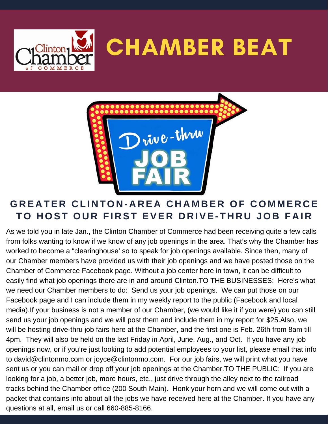



### **GREATER CLINTON-AREA CHAMBER OF COMMERCE TO HOST OUR FIRST EVER DRIVE-THRU JOB FAIR**

As we told you in late Jan., the Clinton Chamber of Commerce had been receiving quite a few calls from folks wanting to know if we know of any job openings in the area. That's why the Chamber has worked to become a "clearinghouse' so to speak for job openings available. Since then, many of our Chamber members have provided us with their job openings and we have posted those on the Chamber of Commerce Facebook page. Without a job center here in town, it can be difficult to easily find what job openings there are in and around Clinton.TO THE BUSINESSES: Here's what we need our Chamber members to do: Send us your job openings. We can put those on our Facebook page and I can include them in my weekly report to the public (Facebook and local media).If your business is not a member of our Chamber, (we would like it if you were) you can still send us your job openings and we will post them and include them in my report for \$25.Also, we will be hosting drive-thru job fairs here at the Chamber, and the first one is Feb. 26th from 8am till 4pm. They will also be held on the last Friday in April, June, Aug., and Oct. If you have any job openings now, or if you're just looking to add potential employees to your list, please email that info to david@clintonmo.com or joyce@clintonmo.com. For our job fairs, we will print what you have sent us or you can mail or drop off your job openings at the Chamber.TO THE PUBLIC: If you are looking for a job, a better job, more hours, etc., just drive through the alley next to the railroad tracks behind the Chamber office (200 South Main). Honk your horn and we will come out with a packet that contains info about all the jobs we have received here at the Chamber. If you have any questions at all, email us or call 660-885-8166.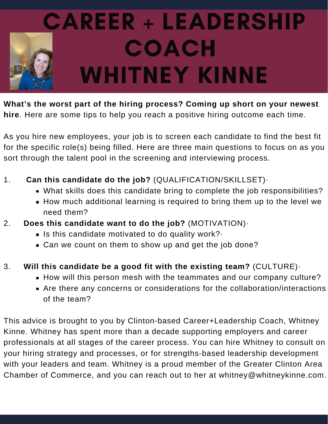

**What's the worst part of the hiring process? Coming up short on your newest hire**. Here are some tips to help you reach a positive hiring outcome each time.

As you hire new employees, your job is to screen each candidate to find the best fit for the specific role(s) being filled. Here are three main questions to focus on as you sort through the talent pool in the screening and interviewing process.

- 1. **Can this candidate do the job?** (QUALIFICATION/SKILLSET)·
	- What skills does this candidate bring to complete the job responsibilities?
	- How much additional learning is required to bring them up to the level we need them?
- 2. **Does this candidate want to do the job?** (MOTIVATION)·
	- Is this candidate motivated to do quality work?
	- **Can we count on them to show up and get the job done?**
- 3. **Will this candidate be a good fit with the existing team?** (CULTURE)·
	- **How will this person mesh with the teammates and our company culture?**
	- Are there any concerns or considerations for the collaboration/interactions of the team?

This advice is brought to you by Clinton-based Career+Leadership Coach, Whitney Kinne. Whitney has spent more than a decade supporting employers and career professionals at all stages of the career process. You can hire Whitney to consult on your hiring strategy and processes, or for strengths-based leadership development with your leaders and team. Whitney is a proud member of the Greater Clinton Area Chamber of Commerce, and you can reach out to her at whitney@whitneykinne.com.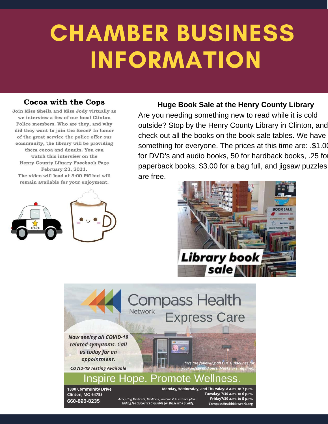# CHAMBER BUSINESS INFORMATION

#### **Cocoa with the Cops**

Join Miss Sheila and Miss Jody virtually as we interview a few of our local Clinton Police members. Who are they, and why did they want to join the force? In honor of the great service the police offer our community, the library will be providing them cocoa and donuts. You can watch this interview on the Henry County Library Facebook Page February 23, 2021. The video will load at 3:00 PM but will remain available for your enjoyment.



#### **Huge Book Sale at the Henry County Library**

Are you needing something new to read while it is cold outside? Stop by the Henry County Library in Clinton, and check out all the books on the book sale tables. We have something for everyone. The prices at this time are: .\$1.00 for DVD's and audio books, 50 for hardback books, .25 for paperback books, \$3.00 for a bag full, and jigsaw puzzles are free.



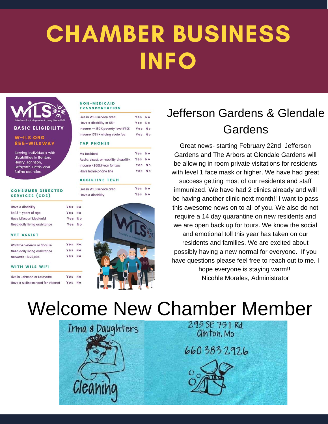## IA AADED DIIQINE LIN PY<br>Iniea John Maria Maria Santana.<br>Jegové politik († 18. února 1888) CHAMBER BUSINESS INFO



**BASIC ELIGIBILITY** 

#### W-ILS.ORG 855-WILSWAY

Serving individuals with disabilities in Benton. Henry, Johnson Lafayette, Pettis, and Saline counties

#### **CONSUMER DIRECTED SERVICES (CDS)**

| Have a disability             | Yes No |  |
|-------------------------------|--------|--|
| Be $18 + \text{years}$ of age | Yes No |  |
| <b>Have Missouri Medicaid</b> | Yes No |  |
| Need daily living assistance  | Yes No |  |
|                               |        |  |

#### **VET ASSIST**

|                              | Yes | N <sub>1</sub> |
|------------------------------|-----|----------------|
| Wartime Veteran or Spouse    |     |                |
| Need daily living assistance | Yes | N.             |
| Networth <\$129,094          | Yes | N <sub>i</sub> |
| <b>WITH WILS WIFI</b>        |     |                |

| Live in Johnson or Lafayette      | Yes No |                |
|-----------------------------------|--------|----------------|
| Have a wellness need for internet | Yes    | N <sub>o</sub> |

#### NON-MEDICAID **TRANSPORTATION**

| Yes    | N <sub>o</sub> |
|--------|----------------|
| Yes No |                |
| Yes No |                |
| Yes No |                |
|        |                |

#### **TAP PHONES**

**I**ive

Hay

| <b>Mo Resident</b>                    | Yes No |                |
|---------------------------------------|--------|----------------|
| Audio, visual, or mobility disability | Yes    | N <sub>o</sub> |
| Income <\$60k/year for two            | Yes No |                |
| Have home phone line                  | Yes    | N <sub>o</sub> |

#### **ASSISTIVE TECH**

| in WILS service area | Yes | N <sub>c</sub> |
|----------------------|-----|----------------|
| e a disability       | Yes | N <sub>c</sub> |



### Jefferson Gardens & Glendale Gardens

Great news- starting February 22nd Jefferson Gardens and The Arbors at Glendale Gardens will be allowing in room private visitations for residents with level 1 face mask or higher. We have had great

success getting most of our residents and staff immunized. We have had 2 clinics already and will be having another clinic next month!! I want to pass this awesome news on to all of you. We also do not require a 14 day quarantine on new residents and we are open back up for tours. We know the social and emotional toll this year has taken on our residents and families. We are excited about possibly having a new normal for everyone. If you have questions please feel free to reach out to me. I hope everyone is staying warm!! Nicohle Morales, Administrator

## Welcome New Chamber Member